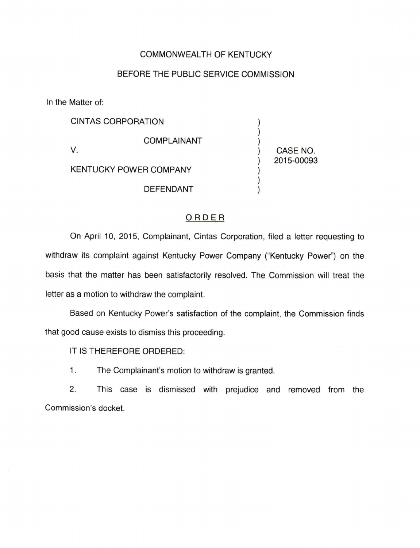## COMMONWEALTH OF KENTUCKY

## BEFORE THE PUBLIC SERVICE COMMISSION

In the Matter of:

CINTAS CORPORATION  $\mathcal{E}$  $\mathcal{E}$ COMPLAINANT V. CASE NO. 2015-00093 KENTUCKY POWER COMPANY DEFENDANT

## ORDER

On April 10, 2015, Complainant, Cintas Corporation, filed a letter requesting to withdraw its complaint against Kentucky Power Company ("Kentucky Power") on the basis that the matter has been satisfactorily resolved. The Commission will treat the letter as a motion to withdraw the complaint.

Based on Kentucky Power's satisfaction of the complaint, the Commission finds that good cause exists to dismiss this proceeding.

IT IS THEREFORE ORDERED:

1. The Complainant's motion to withdraw is granted.

2. This case is dismissed with prejudice and removed from the Commission's docket.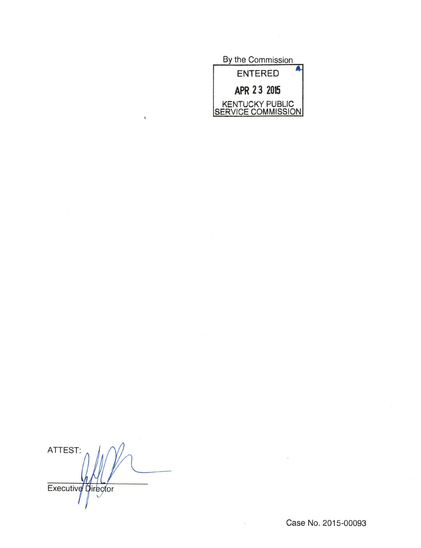

ATTEST: Executive pirector